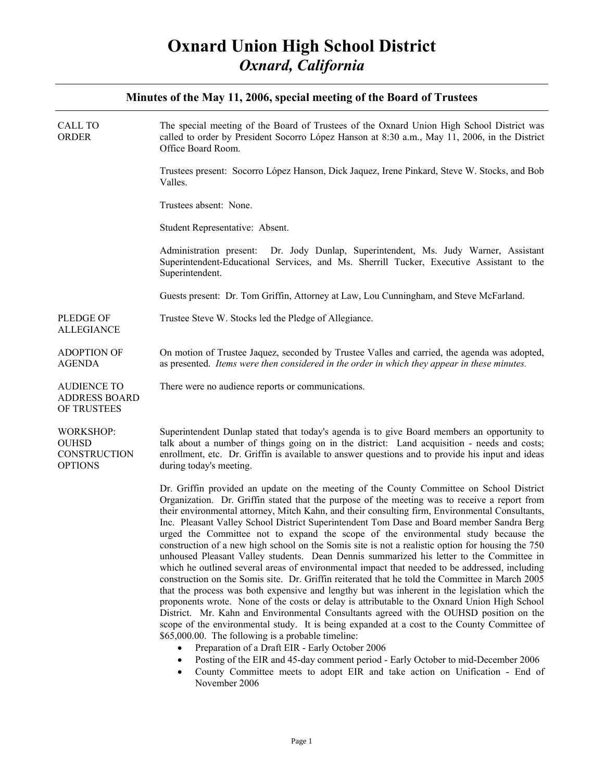#### **Minutes of the May 11, 2006, special meeting of the Board of Trustees**

| CALL TO<br>ORDER                                            | The special meeting of the Board of Trustees of the Oxnard Union High School District was<br>called to order by President Socorro López Hanson at 8:30 a.m., May 11, 2006, in the District<br>Office Board Room.                                                                                                                                                                                                                                                                                                                                                                                                                                                                                                                                                                                                                                                                                                                                                                                                                                                                                                                                                                                                                                                                                                                                                                                                                                                                           |
|-------------------------------------------------------------|--------------------------------------------------------------------------------------------------------------------------------------------------------------------------------------------------------------------------------------------------------------------------------------------------------------------------------------------------------------------------------------------------------------------------------------------------------------------------------------------------------------------------------------------------------------------------------------------------------------------------------------------------------------------------------------------------------------------------------------------------------------------------------------------------------------------------------------------------------------------------------------------------------------------------------------------------------------------------------------------------------------------------------------------------------------------------------------------------------------------------------------------------------------------------------------------------------------------------------------------------------------------------------------------------------------------------------------------------------------------------------------------------------------------------------------------------------------------------------------------|
|                                                             | Trustees present: Socorro López Hanson, Dick Jaquez, Irene Pinkard, Steve W. Stocks, and Bob<br>Valles.                                                                                                                                                                                                                                                                                                                                                                                                                                                                                                                                                                                                                                                                                                                                                                                                                                                                                                                                                                                                                                                                                                                                                                                                                                                                                                                                                                                    |
|                                                             | Trustees absent: None.                                                                                                                                                                                                                                                                                                                                                                                                                                                                                                                                                                                                                                                                                                                                                                                                                                                                                                                                                                                                                                                                                                                                                                                                                                                                                                                                                                                                                                                                     |
|                                                             | Student Representative: Absent.                                                                                                                                                                                                                                                                                                                                                                                                                                                                                                                                                                                                                                                                                                                                                                                                                                                                                                                                                                                                                                                                                                                                                                                                                                                                                                                                                                                                                                                            |
|                                                             | Administration present: Dr. Jody Dunlap, Superintendent, Ms. Judy Warner, Assistant<br>Superintendent-Educational Services, and Ms. Sherrill Tucker, Executive Assistant to the<br>Superintendent.                                                                                                                                                                                                                                                                                                                                                                                                                                                                                                                                                                                                                                                                                                                                                                                                                                                                                                                                                                                                                                                                                                                                                                                                                                                                                         |
|                                                             | Guests present: Dr. Tom Griffin, Attorney at Law, Lou Cunningham, and Steve McFarland.                                                                                                                                                                                                                                                                                                                                                                                                                                                                                                                                                                                                                                                                                                                                                                                                                                                                                                                                                                                                                                                                                                                                                                                                                                                                                                                                                                                                     |
| PLEDGE OF<br><b>ALLEGIANCE</b>                              | Trustee Steve W. Stocks led the Pledge of Allegiance.                                                                                                                                                                                                                                                                                                                                                                                                                                                                                                                                                                                                                                                                                                                                                                                                                                                                                                                                                                                                                                                                                                                                                                                                                                                                                                                                                                                                                                      |
| <b>ADOPTION OF</b><br><b>AGENDA</b>                         | On motion of Trustee Jaquez, seconded by Trustee Valles and carried, the agenda was adopted,<br>as presented. Items were then considered in the order in which they appear in these minutes.                                                                                                                                                                                                                                                                                                                                                                                                                                                                                                                                                                                                                                                                                                                                                                                                                                                                                                                                                                                                                                                                                                                                                                                                                                                                                               |
| AUDIENCE TO<br><b>ADDRESS BOARD</b><br>OF TRUSTEES          | There were no audience reports or communications.                                                                                                                                                                                                                                                                                                                                                                                                                                                                                                                                                                                                                                                                                                                                                                                                                                                                                                                                                                                                                                                                                                                                                                                                                                                                                                                                                                                                                                          |
| <b>WORKSHOP:</b><br>OUHSD<br>CONSTRUCTION<br><b>OPTIONS</b> | Superintendent Dunlap stated that today's agenda is to give Board members an opportunity to<br>talk about a number of things going on in the district: Land acquisition - needs and costs;<br>enrollment, etc. Dr. Griffin is available to answer questions and to provide his input and ideas<br>during today's meeting.                                                                                                                                                                                                                                                                                                                                                                                                                                                                                                                                                                                                                                                                                                                                                                                                                                                                                                                                                                                                                                                                                                                                                                  |
|                                                             | Dr. Griffin provided an update on the meeting of the County Committee on School District<br>Organization. Dr. Griffin stated that the purpose of the meeting was to receive a report from<br>their environmental attorney, Mitch Kahn, and their consulting firm, Environmental Consultants,<br>Inc. Pleasant Valley School District Superintendent Tom Dase and Board member Sandra Berg<br>urged the Committee not to expand the scope of the environmental study because the<br>construction of a new high school on the Somis site is not a realistic option for housing the 750<br>unhoused Pleasant Valley students. Dean Dennis summarized his letter to the Committee in<br>which he outlined several areas of environmental impact that needed to be addressed, including<br>construction on the Somis site. Dr. Griffin reiterated that he told the Committee in March 2005<br>that the process was both expensive and lengthy but was inherent in the legislation which the<br>proponents wrote. None of the costs or delay is attributable to the Oxnard Union High School<br>District. Mr. Kahn and Environmental Consultants agreed with the OUHSD position on the<br>scope of the environmental study. It is being expanded at a cost to the County Committee of<br>\$65,000.00. The following is a probable timeline:<br>Preparation of a Draft EIR - Early October 2006<br>Posting of the EIR and 45-day comment period - Early October to mid-December 2006<br>$\bullet$ |

• County Committee meets to adopt EIR and take action on Unification - End of November 2006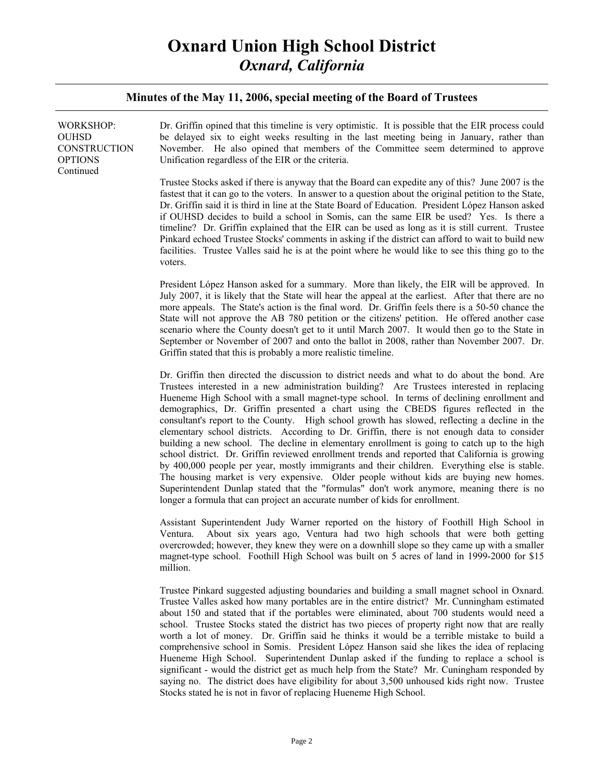# **Oxnard Union High School District**  *Oxnard, California*

#### **Minutes of the May 11, 2006, special meeting of the Board of Trustees**

| <b>WORKSHOP:</b><br>OUHSD<br>CONSTRUCTION<br>OPTIONS<br>Continued | Dr. Griffin opined that this timeline is very optimistic. It is possible that the EIR process could<br>be delayed six to eight weeks resulting in the last meeting being in January, rather than<br>November. He also opined that members of the Committee seem determined to approve<br>Unification regardless of the EIR or the criteria.                                                                                                                                                                                                                                                                                                                                                                                                                                                                                                                                                                                                                                                                                                                                                                                                              |
|-------------------------------------------------------------------|----------------------------------------------------------------------------------------------------------------------------------------------------------------------------------------------------------------------------------------------------------------------------------------------------------------------------------------------------------------------------------------------------------------------------------------------------------------------------------------------------------------------------------------------------------------------------------------------------------------------------------------------------------------------------------------------------------------------------------------------------------------------------------------------------------------------------------------------------------------------------------------------------------------------------------------------------------------------------------------------------------------------------------------------------------------------------------------------------------------------------------------------------------|
|                                                                   | Trustee Stocks asked if there is anyway that the Board can expedite any of this? June 2007 is the<br>fastest that it can go to the voters. In answer to a question about the original petition to the State,<br>Dr. Griffin said it is third in line at the State Board of Education. President López Hanson asked<br>if OUHSD decides to build a school in Somis, can the same EIR be used? Yes. Is there a<br>timeline? Dr. Griffin explained that the EIR can be used as long as it is still current. Trustee<br>Pinkard echoed Trustee Stocks' comments in asking if the district can afford to wait to build new<br>facilities. Trustee Valles said he is at the point where he would like to see this thing go to the<br>voters.                                                                                                                                                                                                                                                                                                                                                                                                                   |
|                                                                   | President López Hanson asked for a summary. More than likely, the EIR will be approved. In<br>July 2007, it is likely that the State will hear the appeal at the earliest. After that there are no<br>more appeals. The State's action is the final word. Dr. Griffin feels there is a 50-50 chance the<br>State will not approve the AB 780 petition or the citizens' petition. He offered another case<br>scenario where the County doesn't get to it until March 2007. It would then go to the State in<br>September or November of 2007 and onto the ballot in 2008, rather than November 2007. Dr.<br>Griffin stated that this is probably a more realistic timeline.                                                                                                                                                                                                                                                                                                                                                                                                                                                                               |
|                                                                   | Dr. Griffin then directed the discussion to district needs and what to do about the bond. Are<br>Trustees interested in a new administration building? Are Trustees interested in replacing<br>Hueneme High School with a small magnet-type school. In terms of declining enrollment and<br>demographics, Dr. Griffin presented a chart using the CBEDS figures reflected in the<br>consultant's report to the County. High school growth has slowed, reflecting a decline in the<br>elementary school districts. According to Dr. Griffin, there is not enough data to consider<br>building a new school. The decline in elementary enrollment is going to catch up to the high<br>school district. Dr. Griffin reviewed enrollment trends and reported that California is growing<br>by 400,000 people per year, mostly immigrants and their children. Everything else is stable.<br>The housing market is very expensive. Older people without kids are buying new homes.<br>Superintendent Dunlap stated that the "formulas" don't work anymore, meaning there is no<br>longer a formula that can project an accurate number of kids for enrollment. |
|                                                                   | Assistant Superintendent Judy Warner reported on the history of Foothill High School in<br>About six years ago, Ventura had two high schools that were both getting<br>Ventura.<br>queres under the lower that the thousand one of developed a flat come un with a smaller                                                                                                                                                                                                                                                                                                                                                                                                                                                                                                                                                                                                                                                                                                                                                                                                                                                                               |

Ventura. About six years ago, Ventura had two high schools that were both getting overcrowded; however, they knew they were on a downhill slope so they came up with a smaller magnet-type school. Foothill High School was built on 5 acres of land in 1999-2000 for \$15 million.

Trustee Pinkard suggested adjusting boundaries and building a small magnet school in Oxnard. Trustee Valles asked how many portables are in the entire district? Mr. Cunningham estimated about 150 and stated that if the portables were eliminated, about 700 students would need a school. Trustee Stocks stated the district has two pieces of property right now that are really worth a lot of money. Dr. Griffin said he thinks it would be a terrible mistake to build a comprehensive school in Somis. President López Hanson said she likes the idea of replacing Hueneme High School. Superintendent Dunlap asked if the funding to replace a school is significant - would the district get as much help from the State? Mr. Cuningham responded by saying no. The district does have eligibility for about 3,500 unhoused kids right now. Trustee Stocks stated he is not in favor of replacing Hueneme High School.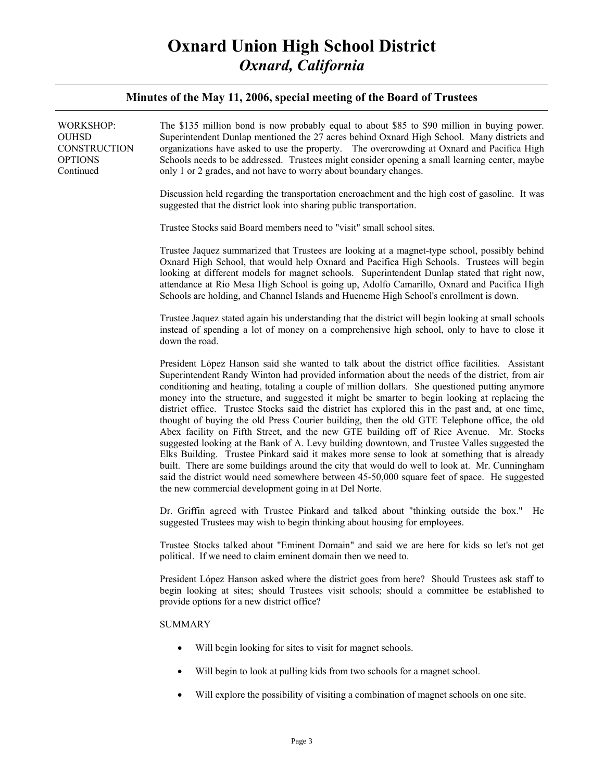# **Oxnard Union High School District**  *Oxnard, California*

#### **Minutes of the May 11, 2006, special meeting of the Board of Trustees**

| <b>WORKSHOP:</b><br><b>OUHSD</b><br>CONSTRUCTION<br><b>OPTIONS</b><br>Continued | The \$135 million bond is now probably equal to about \$85 to \$90 million in buying power.<br>Superintendent Dunlap mentioned the 27 acres behind Oxnard High School. Many districts and<br>organizations have asked to use the property. The overcrowding at Oxnard and Pacifica High<br>Schools needs to be addressed. Trustees might consider opening a small learning center, maybe<br>only 1 or 2 grades, and not have to worry about boundary changes.                                                                                                                                                                                                                                                                                                                                                                                                                                                                                                                                                                                                                                                                                               |
|---------------------------------------------------------------------------------|-------------------------------------------------------------------------------------------------------------------------------------------------------------------------------------------------------------------------------------------------------------------------------------------------------------------------------------------------------------------------------------------------------------------------------------------------------------------------------------------------------------------------------------------------------------------------------------------------------------------------------------------------------------------------------------------------------------------------------------------------------------------------------------------------------------------------------------------------------------------------------------------------------------------------------------------------------------------------------------------------------------------------------------------------------------------------------------------------------------------------------------------------------------|
|                                                                                 | Discussion held regarding the transportation encroachment and the high cost of gasoline. It was<br>suggested that the district look into sharing public transportation.                                                                                                                                                                                                                                                                                                                                                                                                                                                                                                                                                                                                                                                                                                                                                                                                                                                                                                                                                                                     |
|                                                                                 | Trustee Stocks said Board members need to "visit" small school sites.                                                                                                                                                                                                                                                                                                                                                                                                                                                                                                                                                                                                                                                                                                                                                                                                                                                                                                                                                                                                                                                                                       |
|                                                                                 | Trustee Jaquez summarized that Trustees are looking at a magnet-type school, possibly behind<br>Oxnard High School, that would help Oxnard and Pacifica High Schools. Trustees will begin<br>looking at different models for magnet schools. Superintendent Dunlap stated that right now,<br>attendance at Rio Mesa High School is going up, Adolfo Camarillo, Oxnard and Pacifica High<br>Schools are holding, and Channel Islands and Hueneme High School's enrollment is down.                                                                                                                                                                                                                                                                                                                                                                                                                                                                                                                                                                                                                                                                           |
|                                                                                 | Trustee Jaquez stated again his understanding that the district will begin looking at small schools<br>instead of spending a lot of money on a comprehensive high school, only to have to close it<br>down the road.                                                                                                                                                                                                                                                                                                                                                                                                                                                                                                                                                                                                                                                                                                                                                                                                                                                                                                                                        |
|                                                                                 | President López Hanson said she wanted to talk about the district office facilities. Assistant<br>Superintendent Randy Winton had provided information about the needs of the district, from air<br>conditioning and heating, totaling a couple of million dollars. She questioned putting anymore<br>money into the structure, and suggested it might be smarter to begin looking at replacing the<br>district office. Trustee Stocks said the district has explored this in the past and, at one time,<br>thought of buying the old Press Courier building, then the old GTE Telephone office, the old<br>Abex facility on Fifth Street, and the new GTE building off of Rice Avenue. Mr. Stocks<br>suggested looking at the Bank of A. Levy building downtown, and Trustee Valles suggested the<br>Elks Building. Trustee Pinkard said it makes more sense to look at something that is already<br>built. There are some buildings around the city that would do well to look at. Mr. Cunningham<br>said the district would need somewhere between 45-50,000 square feet of space. He suggested<br>the new commercial development going in at Del Norte. |
|                                                                                 | Dr. Griffin agreed with Trustee Pinkard and talked about "thinking outside the box." He<br>suggested Trustees may wish to begin thinking about housing for employees.                                                                                                                                                                                                                                                                                                                                                                                                                                                                                                                                                                                                                                                                                                                                                                                                                                                                                                                                                                                       |
|                                                                                 | Trustee Stocks talked about "Eminent Domain" and said we are here for kids so let's not get<br>political. If we need to claim eminent domain then we need to.                                                                                                                                                                                                                                                                                                                                                                                                                                                                                                                                                                                                                                                                                                                                                                                                                                                                                                                                                                                               |
|                                                                                 | President López Hanson asked where the district goes from here? Should Trustees ask staff to<br>begin looking at sites; should Trustees visit schools; should a committee be established to<br>provide options for a new district office?                                                                                                                                                                                                                                                                                                                                                                                                                                                                                                                                                                                                                                                                                                                                                                                                                                                                                                                   |
|                                                                                 | <b>SUMMARY</b>                                                                                                                                                                                                                                                                                                                                                                                                                                                                                                                                                                                                                                                                                                                                                                                                                                                                                                                                                                                                                                                                                                                                              |
|                                                                                 | Will begin looking for sites to visit for magnet schools.<br>$\bullet$                                                                                                                                                                                                                                                                                                                                                                                                                                                                                                                                                                                                                                                                                                                                                                                                                                                                                                                                                                                                                                                                                      |
|                                                                                 | Will begin to look at pulling kids from two schools for a magnet school.<br>$\bullet$                                                                                                                                                                                                                                                                                                                                                                                                                                                                                                                                                                                                                                                                                                                                                                                                                                                                                                                                                                                                                                                                       |
|                                                                                 | Will explore the possibility of visiting a combination of magnet schools on one site.<br>$\bullet$                                                                                                                                                                                                                                                                                                                                                                                                                                                                                                                                                                                                                                                                                                                                                                                                                                                                                                                                                                                                                                                          |